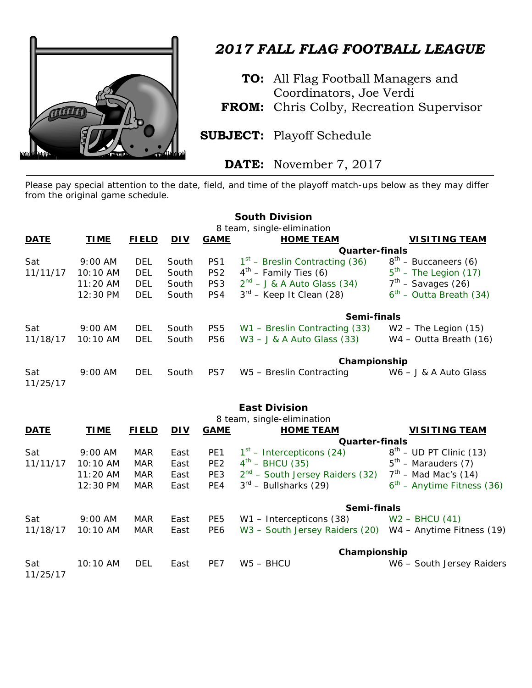

## *2017 FALL FLAG FOOTBALL LEAGUE*

**TO:** All Flag Football Managers and Coordinators, Joe Verdi

**FROM:** Chris Colby, Recreation Supervisor

**SUBJECT:** Playoff Schedule

**DATE:** November 7, 2017

Please pay special attention to the date, field, and time of the playoff match-ups below as they may differ from the original game schedule.

|                 |                            |              |            |                 | <b>South Division</b>            |                            |  |
|-----------------|----------------------------|--------------|------------|-----------------|----------------------------------|----------------------------|--|
|                 | 8 team, single-elimination |              |            |                 |                                  |                            |  |
| <b>DATE</b>     | <b>TIME</b>                | <b>FIELD</b> | <b>DIV</b> | <b>GAME</b>     | <b>HOME TEAM</b>                 | <b>VISITING TEAM</b>       |  |
|                 |                            |              |            |                 | <b>Quarter-finals</b>            |                            |  |
| Sat             | $9:00$ AM                  | DEL          | South      | PS <sub>1</sub> | $1st$ – Breslin Contracting (36) | $8th$ – Buccaneers (6)     |  |
| 11/11/17        | 10:10 AM                   | <b>DEL</b>   | South      | PS <sub>2</sub> | $4th$ – Family Ties (6)          | $5th$ – The Legion (17)    |  |
|                 | $11:20$ AM                 | <b>DEL</b>   | South      | PS <sub>3</sub> | $2^{nd}$ – J & A Auto Glass (34) | $7th$ – Savages (26)       |  |
|                 | $12:30 \text{ PM}$         | <b>DEL</b>   | South      | PS4             | $3^{rd}$ – Keep It Clean (28)    | $6th$ – Outta Breath (34)  |  |
|                 |                            |              |            |                 | Semi-finals                      |                            |  |
| Sat             | $9:00$ AM                  | DEL          | South      | PS <sub>5</sub> | W1 - Breslin Contracting (33)    | $W2$ – The Legion $(15)$   |  |
| 11/18/17        | $10:10$ AM                 | <b>DEL</b>   | South      | PS <sub>6</sub> | $W3 - J & A$ Auto Glass (33)     | $W4 - Outta$ Breath $(16)$ |  |
|                 |                            |              |            |                 |                                  | Championship               |  |
| Sat<br>11/25/17 | $9:00$ AM                  | DEL          | South      | PS7             | W5 - Breslin Contracting         | $W6 - J & A$ Auto Glass    |  |

## **East Division**

| 8 team, single-elimination |             |              |            |                 |                                                          |                              |  |  |  |
|----------------------------|-------------|--------------|------------|-----------------|----------------------------------------------------------|------------------------------|--|--|--|
| <b>DATE</b>                | <b>TIME</b> | <b>FIELD</b> | <u>DIV</u> | <b>GAME</b>     | <b>HOME TEAM</b>                                         | <b>VISITING TEAM</b>         |  |  |  |
|                            |             |              |            |                 | <b>Quarter-finals</b>                                    |                              |  |  |  |
| Sat                        | $9:00$ AM   | <b>MAR</b>   | East       | PE <sub>1</sub> | $1st$ – Intercepticons (24)                              | $8th$ – UD PT Clinic (13)    |  |  |  |
| 11/11/17                   | $10:10$ AM  | <b>MAR</b>   | East       | PE <sub>2</sub> | $4^{th}$ – BHCU (35)                                     | $5th$ – Marauders (7)        |  |  |  |
|                            | $11:20$ AM  | <b>MAR</b>   | East       | PE3             | $2nd$ – South Jersey Raiders (32)                        | $7th$ – Mad Mac's (14)       |  |  |  |
|                            | 12:30 PM    | <b>MAR</b>   | East       | PE4             | $3^{\text{rd}}$ – Bullsharks (29)                        | $6th$ – Anytime Fitness (36) |  |  |  |
|                            |             |              |            |                 | Semi-finals                                              |                              |  |  |  |
| Sat                        | $9:00$ AM   | <b>MAR</b>   | East       | PE <sub>5</sub> | W1 - Intercepticons (38)                                 | $W2 - BHCU(41)$              |  |  |  |
| 11/18/17                   | $10:10$ AM  | <b>MAR</b>   | East       | PE <sub>6</sub> | W3 - South Jersey Raiders (20) W4 - Anytime Fitness (19) |                              |  |  |  |
|                            |             |              |            |                 | Championship                                             |                              |  |  |  |
| Sat<br>11/25/17            | $10:10$ AM  | <b>DEL</b>   | East       | PE7             | $WS - BHCU$                                              | W6 - South Jersey Raiders    |  |  |  |